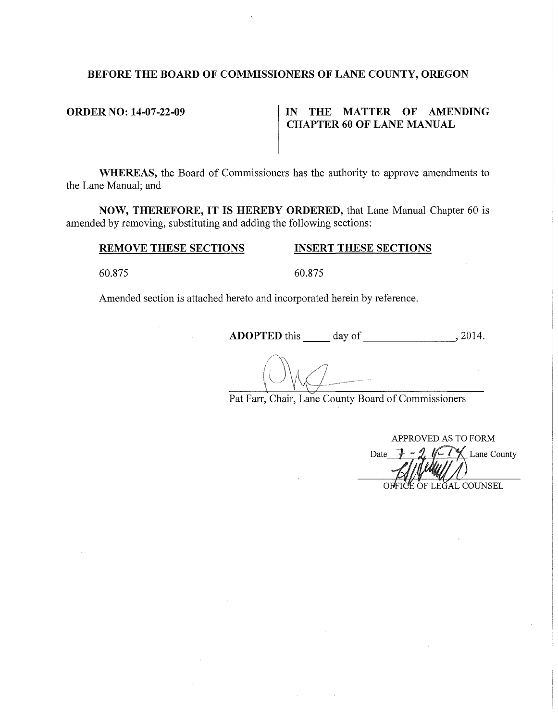# **BEFORE THE BOARD OF COMMISSIONERS OF LANE COUNTY, OREGON**

# **ORDER NO: 14-07-22-09** IN THE MATTER OF AMENDING **CHAPTER 60 OF LANE MANUAL**

**WHEREAS,** the Board of Commissioners has the authority to approve amendments to the Lane Manual; and

**NOW, THEREFORE, IT IS HEREBY ORDERED,** that Lane Manual Chapter 60 is amended by removing, substituting and adding the following sections:

# **REMOVE THESE SECTIONS INSERT THESE SECTIONS**

60.875 60.875

Amended section is attached hereto and incorporated herein by reference.

**ADOPTED** this day of , 2014.

Pat Farr, Chair, Lane County Board of Commissioners

APPROVED AS TO FORM Lane County Date OFFICE OF LEGAL COUNSEL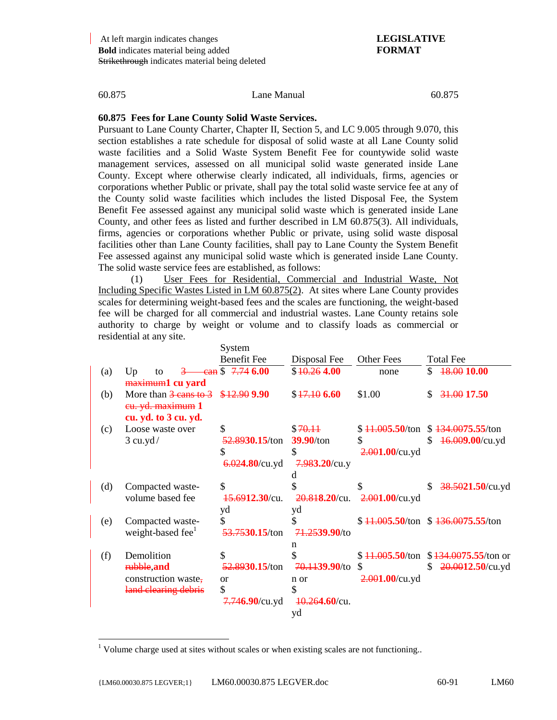l

60.875 Lane Manual 60.875

### **60.875 Fees for Lane County Solid Waste Services.**

Pursuant to Lane County Charter, Chapter II, Section 5, and LC 9.005 through 9.070, this section establishes a rate schedule for disposal of solid waste at all Lane County solid waste facilities and a Solid Waste System Benefit Fee for countywide solid waste management services, assessed on all municipal solid waste generated inside Lane County. Except where otherwise clearly indicated, all individuals, firms, agencies or corporations whether Public or private, shall pay the total solid waste service fee at any of the County solid waste facilities which includes the listed Disposal Fee, the System Benefit Fee assessed against any municipal solid waste which is generated inside Lane County, and other fees as listed and further described in LM 60.875(3). All individuals, firms, agencies or corporations whether Public or private, using solid waste disposal facilities other than Lane County facilities, shall pay to Lane County the System Benefit Fee assessed against any municipal solid waste which is generated inside Lane County. The solid waste service fees are established, as follows:

(1) User Fees for Residential, Commercial and Industrial Waste, Not Including Specific Wastes Listed in LM 60.875(2). At sites where Lane County provides scales for determining weight-based fees and the scales are functioning, the weight-based fee will be charged for all commercial and industrial wastes. Lane County retains sole authority to charge by weight or volume and to classify loads as commercial or residential at any site.

|     |                                           | System                         |                  |                              |                                       |
|-----|-------------------------------------------|--------------------------------|------------------|------------------------------|---------------------------------------|
|     |                                           | <b>Benefit Fee</b>             | Disposal Fee     | <b>Other Fees</b>            | <b>Total Fee</b>                      |
| (a) | Up<br>to                                  | $\frac{1}{2}$ Can \$ 7.74 6.00 | \$40.264.00      | none                         | 18.00 10.00<br>\$                     |
|     | maximum1 cu yard                          |                                |                  |                              |                                       |
| (b) | More than $\frac{3 \text{ cans to 3}}{3}$ | \$12.90 9.90                   | \$17.106.60      | \$1.00                       | 31.00 17.50<br>\$.                    |
|     | eu. yd. maximum 1                         |                                |                  |                              |                                       |
|     | cu. yd. to 3 cu. yd.                      |                                |                  |                              |                                       |
| (c) | Loose waste over                          | \$                             | \$70.11          | \$ <del>11.005</del> .50/ton | \$134.0075.55/ton                     |
|     | $3$ cu.yd/                                | 52.8930.15/ton                 | 39.90/ton        | \$                           | \$<br>46.009.00/cu.yd                 |
|     |                                           | S                              | \$               | $2.001.00$ /cu.yd            |                                       |
|     |                                           | $6.024.80$ /cu.yd              | $7.983.20$ /cu.y |                              |                                       |
|     |                                           |                                |                  |                              |                                       |
| (d) | Compacted waste-                          | \$                             |                  |                              | 38.5021.50/cu.yd<br>\$                |
|     | volume based fee                          | 15.6912.30/cu.                 | 20.818.20/cu.    | $2.001.00$ /cu.yd            |                                       |
|     |                                           | yd                             | yd               |                              |                                       |
| (e) | Compacted waste-                          | \$                             | \$               |                              | $$11,005.50$ /ton $$136,0075.55$ /ton |
|     | weight-based fee <sup>1</sup>             | 53.7530.15/ton                 | 71.2539.90/to    |                              |                                       |
|     |                                           |                                | n                |                              |                                       |
| (f) | Demolition                                | \$                             |                  | \$ <del>11.005</del> .50/ton | $$134.0075.55$ /ton or                |
|     | rubble, and                               | 52.8930.15/ton                 | 70.1139.90/to    | \$                           | \$<br>$20.0012.50$ /cu.yd             |
|     | construction waste,                       | <sub>or</sub>                  | n or             | $2.001.00$ /cu.yd            |                                       |
|     | land clearing debris                      | \$                             | \$               |                              |                                       |
|     |                                           | 7.746.90/cu.yd                 | $40.264.60$ /cu. |                              |                                       |
|     |                                           |                                | yd               |                              |                                       |
|     |                                           |                                |                  |                              |                                       |

<sup>&</sup>lt;sup>1</sup> Volume charge used at sites without scales or when existing scales are not functioning..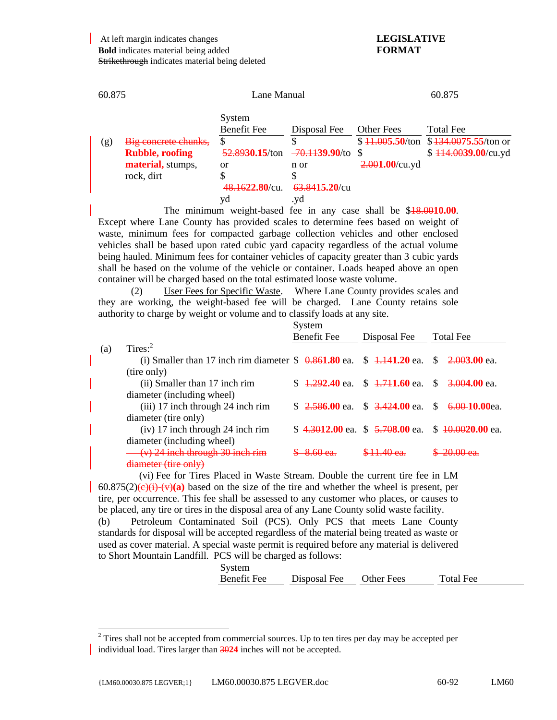| 60.875 |                        | Lane Manual                  |                           | 60.875            |                                          |  |
|--------|------------------------|------------------------------|---------------------------|-------------------|------------------------------------------|--|
|        |                        | System<br><b>Benefit Fee</b> | Disposal Fee              | <b>Other Fees</b> | <b>Total Fee</b>                         |  |
| (g)    | Big concrete chunks,   | \$                           |                           |                   | $$11.005.50$ /ton $$134.0075.55$ /ton or |  |
|        | <b>Rubble, roofing</b> | 52.8930.15/ton               | <del>70.1139.90</del> /to |                   | $$114.0039.00/cu$ .yd                    |  |
|        | material, stumps,      | or                           | n or                      | $2.001.00$ /cu.yd |                                          |  |
|        | rock, dirt             | \$                           |                           |                   |                                          |  |
|        |                        | 48.1622.80/cu.               | 63.8415.20/cu             |                   |                                          |  |
|        |                        | yd                           | .yd                       |                   |                                          |  |
|        |                        | $T111 + 100001000$           |                           |                   |                                          |  |

The minimum weight-based fee in any case shall be \$18.00**10.00**. Except where Lane County has provided scales to determine fees based on weight of waste, minimum fees for compacted garbage collection vehicles and other enclosed vehicles shall be based upon rated cubic yard capacity regardless of the actual volume being hauled. Minimum fees for container vehicles of capacity greater than 3 cubic yards shall be based on the volume of the vehicle or container. Loads heaped above an open container will be charged based on the total estimated loose waste volume.

(2) User Fees for Specific Waste. Where Lane County provides scales and they are working, the weight-based fee will be charged. Lane County retains sole authority to charge by weight or volume and to classify loads at any site.

|     |                                                                                          | System<br><b>Benefit Fee</b> | Disposal Fee                                    | <b>Total Fee</b>                                  |  |
|-----|------------------------------------------------------------------------------------------|------------------------------|-------------------------------------------------|---------------------------------------------------|--|
| (a) | Tires: $2^2$                                                                             |                              |                                                 |                                                   |  |
|     | (i) Smaller than 17 inch rim diameter $$ 0.861.80$ ea. $$ 1.141.20$ ea. $$ 2.003.00$ ea. |                              |                                                 |                                                   |  |
|     | (tire only)                                                                              |                              |                                                 |                                                   |  |
|     | (ii) Smaller than 17 inch rim                                                            |                              | $$4,292.40$ ea. $$4,711.60$ ea. $$3,004.00$ ea. |                                                   |  |
|     | diameter (including wheel)                                                               |                              |                                                 |                                                   |  |
|     | (iii) 17 inch through 24 inch rim                                                        |                              |                                                 | $$2.586.00$ ea. $$3.424.00$ ea. $$6.00-10.00$ ea. |  |
|     | diameter (tire only)                                                                     |                              |                                                 |                                                   |  |
|     | (iv) 17 inch through 24 inch rim                                                         |                              |                                                 | \$4.3012.00 ea. \$5.708.00 ea. \$40.0020.00 ea.   |  |
|     | diameter (including wheel)                                                               |                              |                                                 |                                                   |  |
|     | $(v)$ 24 inch through 30 inch rim                                                        |                              |                                                 |                                                   |  |
|     | diameter (tire only)                                                                     |                              |                                                 |                                                   |  |

(vi) Fee for Tires Placed in Waste Stream. Double the current tire fee in LM  $60.875(2)$ (e)(i)-(v)(a) based on the size of the tire and whether the wheel is present, per tire, per occurrence. This fee shall be assessed to any customer who places, or causes to be placed, any tire or tires in the disposal area of any Lane County solid waste facility.

(b) Petroleum Contaminated Soil (PCS). Only PCS that meets Lane County standards for disposal will be accepted regardless of the material being treated as waste or used as cover material. A special waste permit is required before any material is delivered to Short Mountain Landfill. PCS will be charged as follows:

| System             |              |                   |           |
|--------------------|--------------|-------------------|-----------|
| <b>Benefit Fee</b> | Disposal Fee | <b>Other Fees</b> | Total Fee |

l

 $2^2$  Tires shall not be accepted from commercial sources. Up to ten tires per day may be accepted per individual load. Tires larger than 30**24** inches will not be accepted.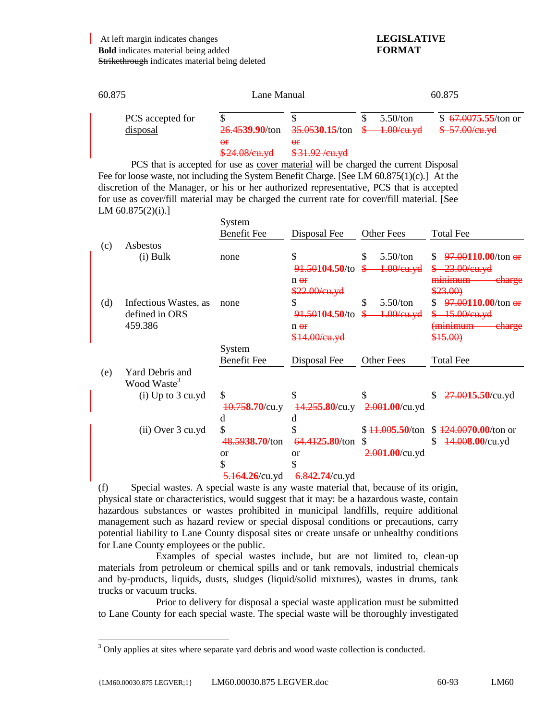| 60.875                       | Lane Manual                 |                                                                                       | 60.875 |          |                                          |
|------------------------------|-----------------------------|---------------------------------------------------------------------------------------|--------|----------|------------------------------------------|
| PCS accepted for<br>disposal | $\Theta$ r<br>\$24.08/cu.yd | $26.4539.90$ /ton $35.0530.15$ /ton $\frac{6}{2}$ 1.00/eu.yd<br>θf<br>$$31.92$ /cu.yd |        | 5.50/ton | $$67.0075.55$ /ton or<br>$$-57.00/cu.yd$ |

PCS that is accepted for use as cover material will be charged the current Disposal Fee for loose waste, not including the System Benefit Charge. [See LM 60.875(1)(c).] At the discretion of the Manager, or his or her authorized representative, PCS that is accepted for use as cover/fill material may be charged the current rate for cover/fill material. [See LM 60.875(2)(i).]

|     |                                            | System             |                                                             |                   |                                              |
|-----|--------------------------------------------|--------------------|-------------------------------------------------------------|-------------------|----------------------------------------------|
|     |                                            | <b>Benefit Fee</b> | Disposal Fee                                                | <b>Other Fees</b> | <b>Total Fee</b>                             |
| (c) | Asbestos<br>$(i)$ Bulk                     | none               | \$                                                          | \$<br>5.50/ton    | $97.00110.00$ /ton or                        |
|     |                                            |                    | <del>91.50</del> 104.50/to<br>$n \theta f$<br>\$22.00/cu.yd | $1.00$ /eu.yd     | 23.00/eu.yd<br>eharge<br>minimum<br>\$23.00) |
| (d) | Infectious Wastes, as                      | none               | \$                                                          | \$<br>5.50/ton    | $97.00110.00$ /ton or                        |
|     | defined in ORS                             |                    | 91.50104.50/to                                              | $1.00$ /eu.yd     | 15.00/eu.yd                                  |
|     | 459.386                                    |                    | $n \theta f$                                                |                   | <del>(minimum</del><br><del>charge</del>     |
|     |                                            |                    | \$14.00/eu.yd                                               |                   | \$15.00                                      |
|     |                                            | System             |                                                             |                   |                                              |
|     |                                            | <b>Benefit Fee</b> | Disposal Fee                                                | <b>Other Fees</b> | <b>Total Fee</b>                             |
| (e) | Yard Debris and<br>Wood Waste <sup>3</sup> |                    |                                                             |                   |                                              |
|     | $(i)$ Up to 3 cu.yd                        | \$                 | \$                                                          |                   | $27.0015.50$ /cu.yd<br>\$                    |
|     |                                            | $40.758.70$ /cu.y  | $14.255.80$ /cu.y                                           | $2.001.00$ /cu.yd |                                              |
|     |                                            | d                  | d                                                           |                   |                                              |
|     | $(ii)$ Over 3 cu.yd                        | \$                 | \$                                                          | $$41.005.50$ /ton | $$124.0070.00$ /ton or                       |
|     |                                            | 48.5938.70/ton     | 64.4125.80/ton                                              | S                 | \$<br>44.008.00/cu.yd                        |
|     |                                            | <sub>or</sub>      | <b>or</b>                                                   | $2.001.00$ /cu.yd |                                              |
|     |                                            | \$                 | \$                                                          |                   |                                              |
|     |                                            | $5.164.26$ /cu.yd  | $6.842.74$ /cu.yd                                           |                   |                                              |

(f) Special wastes. A special waste is any waste material that, because of its origin, physical state or characteristics, would suggest that it may: be a hazardous waste, contain hazardous substances or wastes prohibited in municipal landfills, require additional management such as hazard review or special disposal conditions or precautions, carry potential liability to Lane County disposal sites or create unsafe or unhealthy conditions for Lane County employees or the public.

Examples of special wastes include, but are not limited to, clean-up materials from petroleum or chemical spills and or tank removals, industrial chemicals and by-products, liquids, dusts, sludges (liquid/solid mixtures), wastes in drums, tank trucks or vacuum trucks.

Prior to delivery for disposal a special waste application must be submitted to Lane County for each special waste. The special waste will be thoroughly investigated

l

 $3$  Only applies at sites where separate yard debris and wood waste collection is conducted.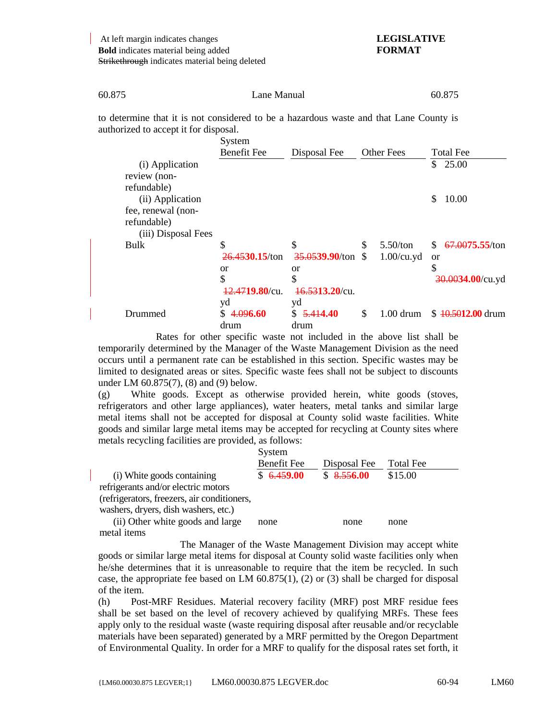| 60.875 | Lane Manual | 60.875 |
|--------|-------------|--------|
|        |             |        |

to determine that it is not considered to be a hazardous waste and that Lane County is authorized to accept it for disposal.

|                                                          | System<br><b>Benefit Fee</b> | Disposal Fee                    | <b>Other Fees</b>   | <b>Total Fee</b>                 |
|----------------------------------------------------------|------------------------------|---------------------------------|---------------------|----------------------------------|
| (i) Application<br>review (non-                          |                              |                                 |                     | 25.00<br>\$                      |
| refundable)<br>(ii) Application                          |                              |                                 |                     | \$<br>10.00                      |
| fee, renewal (non-<br>refundable)<br>(iii) Disposal Fees |                              |                                 |                     |                                  |
| Bulk                                                     | \$                           | \$                              | \$<br>5.50/ton      | <del>67.00</del> 75.55/ton<br>S. |
|                                                          | 26.4530.15/ton               | 35.0539.90/ton                  | \$<br>$1.00$ /cu.yd | <sub>or</sub>                    |
|                                                          | <b>or</b>                    | <sub>or</sub>                   |                     | \$                               |
|                                                          | \$<br>12.4719.80/cu.         | \$<br>$\frac{16.5313.20}{c}$ u. |                     | 30.0034.00/cu.yd                 |
|                                                          | yd                           | yd                              |                     |                                  |
| Drummed                                                  | 4.096.60<br>drum             | 5.414.40<br>S.<br>drum          | \$<br>$1.00$ drum   | $$40,5012,00$ drum               |

Rates for other specific waste not included in the above list shall be temporarily determined by the Manager of the Waste Management Division as the need occurs until a permanent rate can be established in this section. Specific wastes may be limited to designated areas or sites. Specific waste fees shall not be subject to discounts under LM 60.875(7), (8) and (9) below.

(g) White goods. Except as otherwise provided herein, white goods (stoves, refrigerators and other large appliances), water heaters, metal tanks and similar large metal items shall not be accepted for disposal at County solid waste facilities. White goods and similar large metal items may be accepted for recycling at County sites where metals recycling facilities are provided, as follows:

|                                             | System             |              |           |
|---------------------------------------------|--------------------|--------------|-----------|
|                                             | <b>Benefit Fee</b> | Disposal Fee | Total Fee |
| (i) White goods containing                  | \$6.459.00         | \$8.556.00   | \$15.00   |
| refrigerants and/or electric motors         |                    |              |           |
| (refrigerators, freezers, air conditioners, |                    |              |           |
| washers, dryers, dish washers, etc.)        |                    |              |           |
| (ii) Other white goods and large            | none               | none         | none      |
| metal items                                 |                    |              |           |

The Manager of the Waste Management Division may accept white goods or similar large metal items for disposal at County solid waste facilities only when he/she determines that it is unreasonable to require that the item be recycled. In such case, the appropriate fee based on LM  $60.875(1)$ , (2) or (3) shall be charged for disposal of the item.

(h) Post-MRF Residues. Material recovery facility (MRF) post MRF residue fees shall be set based on the level of recovery achieved by qualifying MRFs. These fees apply only to the residual waste (waste requiring disposal after reusable and/or recyclable materials have been separated) generated by a MRF permitted by the Oregon Department of Environmental Quality. In order for a MRF to qualify for the disposal rates set forth, it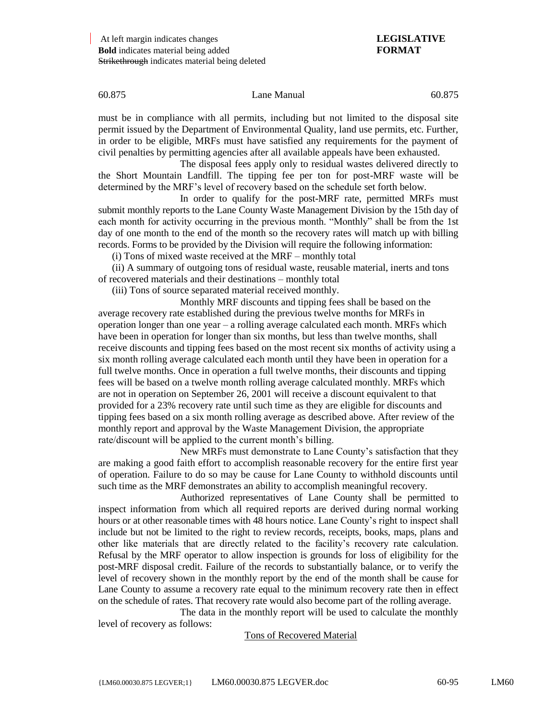must be in compliance with all permits, including but not limited to the disposal site permit issued by the Department of Environmental Quality, land use permits, etc. Further, in order to be eligible, MRFs must have satisfied any requirements for the payment of civil penalties by permitting agencies after all available appeals have been exhausted.

The disposal fees apply only to residual wastes delivered directly to the Short Mountain Landfill. The tipping fee per ton for post-MRF waste will be determined by the MRF's level of recovery based on the schedule set forth below.

In order to qualify for the post-MRF rate, permitted MRFs must submit monthly reports to the Lane County Waste Management Division by the 15th day of each month for activity occurring in the previous month. "Monthly" shall be from the 1st day of one month to the end of the month so the recovery rates will match up with billing records. Forms to be provided by the Division will require the following information:

(i) Tons of mixed waste received at the MRF – monthly total

(ii) A summary of outgoing tons of residual waste, reusable material, inerts and tons of recovered materials and their destinations – monthly total

(iii) Tons of source separated material received monthly.

Monthly MRF discounts and tipping fees shall be based on the average recovery rate established during the previous twelve months for MRFs in operation longer than one year – a rolling average calculated each month. MRFs which have been in operation for longer than six months, but less than twelve months, shall receive discounts and tipping fees based on the most recent six months of activity using a six month rolling average calculated each month until they have been in operation for a full twelve months. Once in operation a full twelve months, their discounts and tipping fees will be based on a twelve month rolling average calculated monthly. MRFs which are not in operation on September 26, 2001 will receive a discount equivalent to that provided for a 23% recovery rate until such time as they are eligible for discounts and tipping fees based on a six month rolling average as described above. After review of the monthly report and approval by the Waste Management Division, the appropriate rate/discount will be applied to the current month's billing.

New MRFs must demonstrate to Lane County's satisfaction that they are making a good faith effort to accomplish reasonable recovery for the entire first year of operation. Failure to do so may be cause for Lane County to withhold discounts until such time as the MRF demonstrates an ability to accomplish meaningful recovery.

Authorized representatives of Lane County shall be permitted to inspect information from which all required reports are derived during normal working hours or at other reasonable times with 48 hours notice. Lane County's right to inspect shall include but not be limited to the right to review records, receipts, books, maps, plans and other like materials that are directly related to the facility's recovery rate calculation. Refusal by the MRF operator to allow inspection is grounds for loss of eligibility for the post-MRF disposal credit. Failure of the records to substantially balance, or to verify the level of recovery shown in the monthly report by the end of the month shall be cause for Lane County to assume a recovery rate equal to the minimum recovery rate then in effect on the schedule of rates. That recovery rate would also become part of the rolling average.

The data in the monthly report will be used to calculate the monthly level of recovery as follows:

Tons of Recovered Material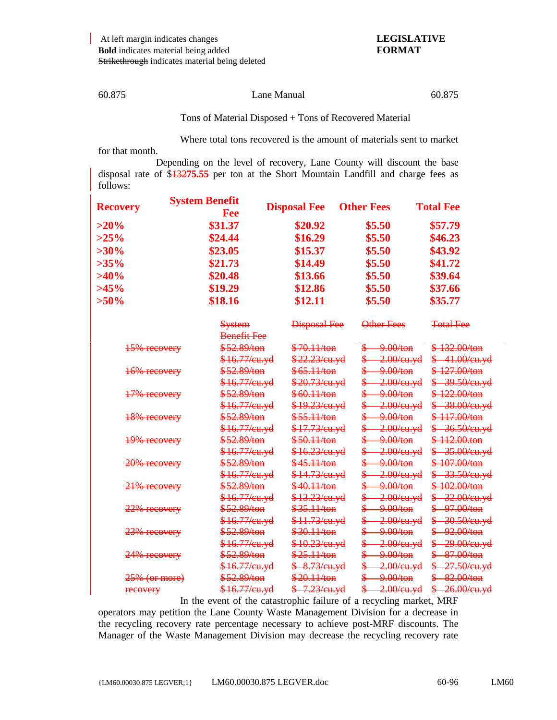Tons of Material Disposed + Tons of Recovered Material

Where total tons recovered is the amount of materials sent to market for that month.

Depending on the level of recovery, Lane County will discount the base disposal rate of \$132**75.55** per ton at the Short Mountain Landfill and charge fees as follows:

| <b>Recovery</b> | <b>System Benefit</b><br>Fee | <b>Disposal Fee</b> | <b>Other Fees</b> | <b>Total Fee</b> |  |
|-----------------|------------------------------|---------------------|-------------------|------------------|--|
| $>20\%$         | \$31.37                      | \$20.92             | \$5.50            | \$57.79          |  |
| $>25\%$         | \$24.44                      | \$16.29             | \$5.50            | \$46.23          |  |
| $>30\%$         | \$23.05                      | \$15.37             | \$5.50            | \$43.92          |  |
| $>35\%$         | \$21.73                      | \$14.49             | \$5.50            | \$41.72          |  |
| $>40\%$         | \$20.48                      | \$13.66             | \$5.50            | \$39.64          |  |
| $>45\%$         | \$19.29                      | \$12.86             | \$5.50            | \$37.66          |  |
| $>50\%$         | \$18.16                      | \$12.11             | \$5.50            | \$35.77          |  |

|               | <b>System</b><br><del>Benefit Fee</del> | <b>Disposal Fee</b>      | Other Fees                     | <del>Total Fee</del>      |
|---------------|-----------------------------------------|--------------------------|--------------------------------|---------------------------|
| 15% recovery  | \$52.89/ton                             | \$70.11/ton              | \$<br><del>9.00/ton</del>      | $$132.00/t$ on            |
|               | <del>\$16.77/eu.yd</del>                | <del>\$22.23/eu.yd</del> | \$<br><del>2.00/cu.yd</del>    | $$-41.00$ /cu.yd          |
| 16% recovery  | \$52.89/ton                             | \$65.11/ton              | \$<br><del>9.00/ton</del>      | \$127.00/ton              |
|               | <del>\$16.77/cu.yd</del>                | <del>\$20.73/eu.yd</del> | \$<br><del>2.00/cu.yd</del>    | <del>\$ 39.50/cu.yd</del> |
| 17% recovery  | \$52.89/ton                             | \$60.11/ton              | \$<br><del>-9.00/ton</del>     | \$ 122,00/ton             |
|               | <del>\$16.77/eu.yd</del>                | <del>\$19.23/cu.yd</del> | \$<br><del>2.00/cu.yd</del>    | $$-38.00/cu.yd$           |
| 18% recovery  | \$52.89/ton                             | \$55.11/ton              | ₷<br><del>-9.00/ton</del>      | \$ 117,00/ton             |
|               | <del>\$16.77/eu.yd</del>                | <del>\$17.73/eu.yd</del> | \$<br><del>2.00/cu.yd</del>    | \$ 36.50/cu.yd            |
| 19% recovery  | \$52.89/ton                             | \$50.11/ton              | \$⊢<br><del>9.00/ton</del>     | $$-112.00$ ton            |
|               | <del>\$16.77/eu.yd</del>                | \$16.23/cu.yd            | <del>2.00/cu.yd</del>          | $$-35.00/cu.yd$           |
| 20% recovery  | \$52.89/ton                             | $$45.11$ /ton            | ₷<br><del>-9.00/ton</del>      | \$ 107.00/ton             |
|               | <del>\$16.77/cu.yd</del>                | <del>\$14.73/eu.yd</del> | <del>-2.00/cu.yd</del>         | \$ 33.50/cu.yd            |
| 21% recovery  | <del>\$52.89/ton</del>                  | \$40.11/ton              | <del>-9.00/ton</del>           | \$ 102.00/ton             |
|               | <del>\$16.77/eu.yd</del>                | <del>\$13.23/eu.yd</del> | \$<br><del>2.00/cu.yd</del>    | $\frac{$-32.00}{e^4}$     |
| 22% recovery  | \$52.89/ton                             | \$35.11/ton              | <del>-9.00/ton</del>           | \$ 97.00/ton              |
|               | \$16.77/eu.yd                           | <del>\$11.73/eu.yd</del> | \$<br><del>2.00/cu.yd</del>    | \$ 30.50/cu.yd            |
| 23% recovery  | <del>\$52.89/ton</del>                  | \$30.11/ton              | \$<br><del>-9.00/ton</del>     | $$ -92.00/t$ on           |
|               | <del>\$16.77/cu.yd</del>                | <del>\$10.23/cu.yd</del> | \$<br><del>2.00/cu.yd</del>    | <del>\$29.00/cu.yd</del>  |
| 24% recovery  | \$52.89/ton                             | \$25.11/ton              | \$<br><del>9.00/ton</del>      | $$ -87.00/ton$            |
|               | <del>\$16.77/cu.yd</del>                | <del>\$ 8.73/cu.yd</del> | \$−<br><del>2.00/cu.yd</del> _ | <del>\$ 27.50/cu.yd</del> |
| 25% (or more) | <del>\$52.89/ton</del>                  | <del>\$20.11/ton</del>   | <del>\$ 9.00/ton</del>         | \$ 82.00/ton              |
| recovery      | <del>\$16.77/eu.yd</del>                | <del>\$ 7.23/cu.yd</del> | $\frac{$-2.00}{e u. yd}$       | <del>\$26.00/cu.yd</del>  |
|               |                                         |                          |                                |                           |

In the event of the catastrophic failure of a recycling market, MRF operators may petition the Lane County Waste Management Division for a decrease in the recycling recovery rate percentage necessary to achieve post-MRF discounts. The Manager of the Waste Management Division may decrease the recycling recovery rate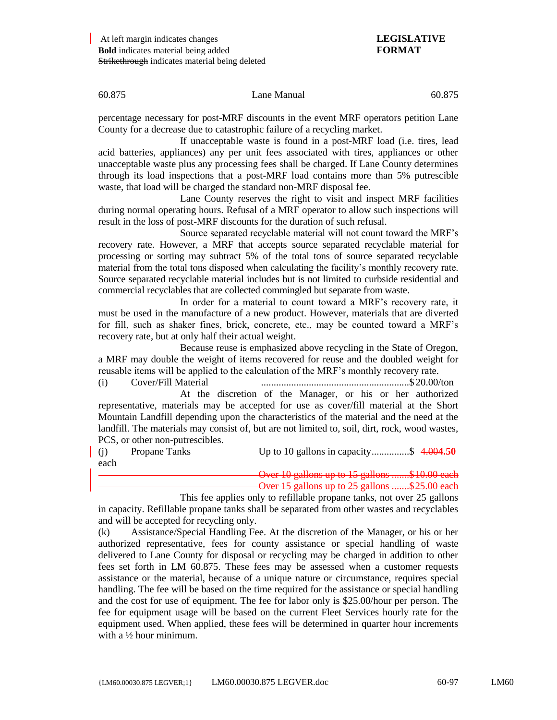percentage necessary for post-MRF discounts in the event MRF operators petition Lane County for a decrease due to catastrophic failure of a recycling market.

If unacceptable waste is found in a post-MRF load (i.e. tires, lead acid batteries, appliances) any per unit fees associated with tires, appliances or other unacceptable waste plus any processing fees shall be charged. If Lane County determines through its load inspections that a post-MRF load contains more than 5% putrescible waste, that load will be charged the standard non-MRF disposal fee.

Lane County reserves the right to visit and inspect MRF facilities during normal operating hours. Refusal of a MRF operator to allow such inspections will result in the loss of post-MRF discounts for the duration of such refusal.

Source separated recyclable material will not count toward the MRF's recovery rate. However, a MRF that accepts source separated recyclable material for processing or sorting may subtract 5% of the total tons of source separated recyclable material from the total tons disposed when calculating the facility's monthly recovery rate. Source separated recyclable material includes but is not limited to curbside residential and commercial recyclables that are collected commingled but separate from waste.

In order for a material to count toward a MRF's recovery rate, it must be used in the manufacture of a new product. However, materials that are diverted for fill, such as shaker fines, brick, concrete, etc., may be counted toward a MRF's recovery rate, but at only half their actual weight.

Because reuse is emphasized above recycling in the State of Oregon, a MRF may double the weight of items recovered for reuse and the doubled weight for reusable items will be applied to the calculation of the MRF's monthly recovery rate.

(i) Cover/Fill Material ...........................................................\$ 20.00/ton

At the discretion of the Manager, or his or her authorized representative, materials may be accepted for use as cover/fill material at the Short Mountain Landfill depending upon the characteristics of the material and the need at the landfill. The materials may consist of, but are not limited to, soil, dirt, rock, wood wastes, PCS, or other non-putrescibles.

(j) Propane Tanks Up to 10 gallons in capacity...............\$ 4.00**4.50** each

Over 10 gallons up to 15 gallons .......\$10.00 each Over 15 gallons up to 25 gallons .......\$25.00 each

This fee applies only to refillable propane tanks, not over 25 gallons in capacity. Refillable propane tanks shall be separated from other wastes and recyclables and will be accepted for recycling only.

(k) Assistance/Special Handling Fee. At the discretion of the Manager, or his or her authorized representative, fees for county assistance or special handling of waste delivered to Lane County for disposal or recycling may be charged in addition to other fees set forth in LM 60.875. These fees may be assessed when a customer requests assistance or the material, because of a unique nature or circumstance, requires special handling. The fee will be based on the time required for the assistance or special handling and the cost for use of equipment. The fee for labor only is \$25.00/hour per person. The fee for equipment usage will be based on the current Fleet Services hourly rate for the equipment used. When applied, these fees will be determined in quarter hour increments with a ½ hour minimum.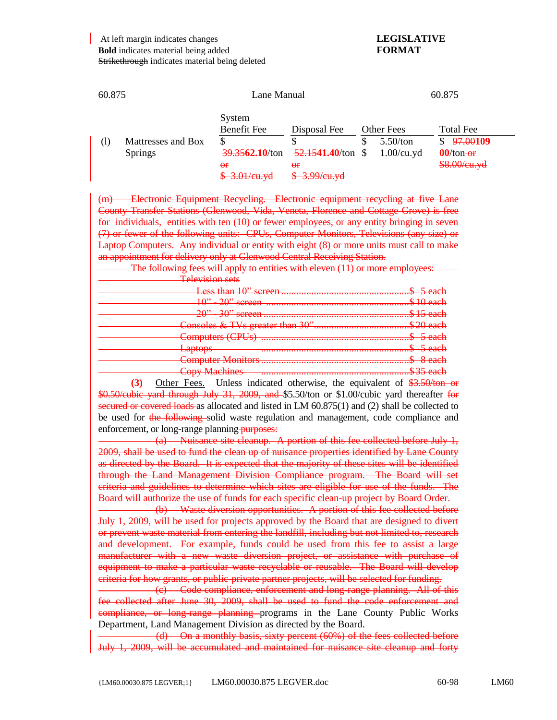At left margin indicates changes **LEGISLATIVE Bold** indicates material being added **FORMAT** Strikethrough indicates material being deleted

| 60.875       |                                      | Lane Manual                                                                         |                                                                              | 60.875 |                                         |                                                                                                    |
|--------------|--------------------------------------|-------------------------------------------------------------------------------------|------------------------------------------------------------------------------|--------|-----------------------------------------|----------------------------------------------------------------------------------------------------|
| $\rm _{(l)}$ | Mattresses and Box<br><b>Springs</b> | System<br>Benefit Fee<br>S<br>39.3562.10/ton<br>$\theta$ f<br><del>3.01/cu.yd</del> | Disposal Fee<br>52.1541.40/ton<br>$\Theta$ <b>F</b><br><del>3.99/cu.yd</del> | \$.    | Other Fees<br>5.50/ton<br>$1.00$ /cu.yd | <b>Total Fee</b><br><del>97.00</del> 109<br><sup>\$</sup><br>$00$ /ton- $\theta$ r<br>\$8.00/cu.yd |

(m) Electronic Equipment Recycling. Electronic equipment recycling at five Lane County Transfer Stations (Glenwood, Vida, Veneta, Florence and Cottage Grove) is free for individuals, entities with ten (10) or fewer employees, or any entity bringing in seven (7) or fewer of the following units: CPUs, Computer Monitors, Televisions (any size) or Laptop Computers. Any individual or entity with eight (8) or more units must call to make an appointment for delivery only at Glenwood Central Receiving Station.

The following fees will apply to entities with eleven (11) or more employees: Television s

| Copy Machines 25 each |
|-----------------------|
|                       |

**(3)** Other Fees. Unless indicated otherwise, the equivalent of \$3.50/ton or \$0.50/cubic yard through July 31, 2009, and \$5.50/ton or \$1.00/cubic yard thereafter for secured or covered loads as allocated and listed in LM  $60.875(1)$  and (2) shall be collected to be used for the following solid waste regulation and management, code compliance and enforcement, or long-range planning-purposes:

(a) Nuisance site cleanup. A portion of this fee collected before July 1, 2009, shall be used to fund the clean up of nuisance properties identified by Lane County as directed by the Board. It is expected that the majority of these sites will be identified through the Land Management Division Compliance program. The Board will set criteria and guidelines to determine which sites are eligible for use of the funds. The Board will authorize the use of funds for each specific clean-up project by Board Order.

(b) Waste diversion opportunities. A portion of this fee collected before July 1, 2009, will be used for projects approved by the Board that are designed to divert or prevent waste material from entering the landfill, including but not limited to, research and development. For example, funds could be used from this fee to assist a large manufacturer with a new waste diversion project, or assistance with purchase of equipment to make a particular waste recyclable or reusable. The Board will develop criteria for how grants, or public-private partner projects, will be selected for funding.

(c) Code compliance, enforcement and long-range planning. All of this fee collected after June 30, 2009, shall be used to fund the code enforcement and compliance, or long-range planning programs in the Lane County Public Works Department, Land Management Division as directed by the Board.

(d) On a monthly basis, sixty percent (60%) of the fees collected before July 1, 2009, will be accumulated and maintained for nuisance site cleanup and forty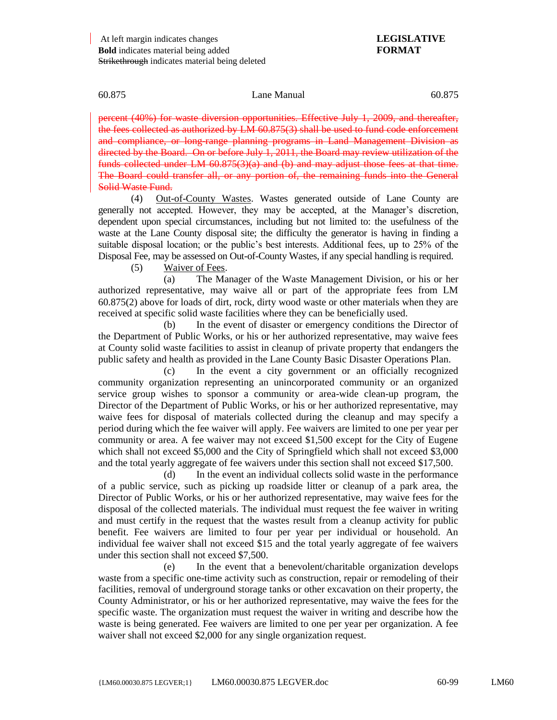percent (40%) for waste diversion opportunities. Effective July 1, 2009, and thereafter, the fees collected as authorized by  $LM$  60.875(3) shall be used to fund code enforcement and compliance, or long-range planning programs in Land Management Division as directed by the Board. On or before July 1, 2011, the Board may review utilization of the funds collected under LM 60.875(3)(a) and (b) and may adjust those fees at that time. The Board could transfer all, or any portion of, the remaining funds into the General Solid Waste Fund.

(4) Out-of-County Wastes. Wastes generated outside of Lane County are generally not accepted. However, they may be accepted, at the Manager's discretion, dependent upon special circumstances, including but not limited to: the usefulness of the waste at the Lane County disposal site; the difficulty the generator is having in finding a suitable disposal location; or the public's best interests. Additional fees, up to 25% of the Disposal Fee, may be assessed on Out-of-County Wastes, if any special handling is required.

(5) Waiver of Fees.

(a) The Manager of the Waste Management Division, or his or her authorized representative, may waive all or part of the appropriate fees from LM 60.875(2) above for loads of dirt, rock, dirty wood waste or other materials when they are received at specific solid waste facilities where they can be beneficially used.

(b) In the event of disaster or emergency conditions the Director of the Department of Public Works, or his or her authorized representative, may waive fees at County solid waste facilities to assist in cleanup of private property that endangers the public safety and health as provided in the Lane County Basic Disaster Operations Plan.

(c) In the event a city government or an officially recognized community organization representing an unincorporated community or an organized service group wishes to sponsor a community or area-wide clean-up program, the Director of the Department of Public Works, or his or her authorized representative, may waive fees for disposal of materials collected during the cleanup and may specify a period during which the fee waiver will apply. Fee waivers are limited to one per year per community or area. A fee waiver may not exceed \$1,500 except for the City of Eugene which shall not exceed \$5,000 and the City of Springfield which shall not exceed \$3,000 and the total yearly aggregate of fee waivers under this section shall not exceed \$17,500.

(d) In the event an individual collects solid waste in the performance of a public service, such as picking up roadside litter or cleanup of a park area, the Director of Public Works, or his or her authorized representative, may waive fees for the disposal of the collected materials. The individual must request the fee waiver in writing and must certify in the request that the wastes result from a cleanup activity for public benefit. Fee waivers are limited to four per year per individual or household. An individual fee waiver shall not exceed \$15 and the total yearly aggregate of fee waivers under this section shall not exceed \$7,500.

(e) In the event that a benevolent/charitable organization develops waste from a specific one-time activity such as construction, repair or remodeling of their facilities, removal of underground storage tanks or other excavation on their property, the County Administrator, or his or her authorized representative, may waive the fees for the specific waste. The organization must request the waiver in writing and describe how the waste is being generated. Fee waivers are limited to one per year per organization. A fee waiver shall not exceed \$2,000 for any single organization request.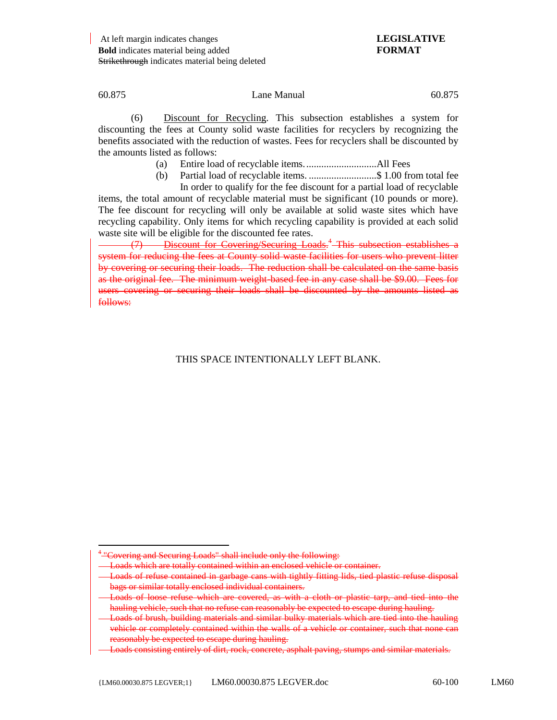(6) Discount for Recycling. This subsection establishes a system for discounting the fees at County solid waste facilities for recyclers by recognizing the benefits associated with the reduction of wastes. Fees for recyclers shall be discounted by the amounts listed as follows:

- (a) Entire load of recyclable items.............................All Fees
- (b) Partial load of recyclable items. ...........................\$ 1.00 from total fee In order to qualify for the fee discount for a partial load of recyclable

items, the total amount of recyclable material must be significant (10 pounds or more). The fee discount for recycling will only be available at solid waste sites which have recycling capability. Only items for which recycling capability is provided at each solid waste site will be eligible for the discounted fee rates.

(7) Discount for Covering/Securing Loads.<sup>4</sup> This subsection establishes a system for reducing the fees at County solid waste facilities for users who prevent litter by covering or securing their loads. The reduction shall be calculated on the same basis as the original fee. The minimum weight-based fee in any case shall be \$9.00. Fees for users covering or securing their loads shall be discounted by the amounts listed as follows:

## THIS SPACE INTENTIONALLY LEFT BLANK.

 $\overline{a}$ <sup>4</sup> "Covering and Securing Loads" shall include only the following:

Loads which are totally contained within an enclosed vehicle or container.

Loads of refuse contained in garbage cans with tightly fitting lids, tied plastic refuse disposal bags or similar totally enclosed individual containers.

Loads of loose refuse which are covered, as with a cloth or plastic tarp, and tied into the hauling vehicle, such that no refuse can reasonably be expected to escape during hauling.

Loads of brush, building materials and similar bulky materials which are tied into the hauling vehicle or completely contained within the walls of a vehicle or container, such that none can reasonably be expected to escape during hauling.

Loads consisting entirely of dirt, rock, concrete, asphalt paving, stumps and similar materials.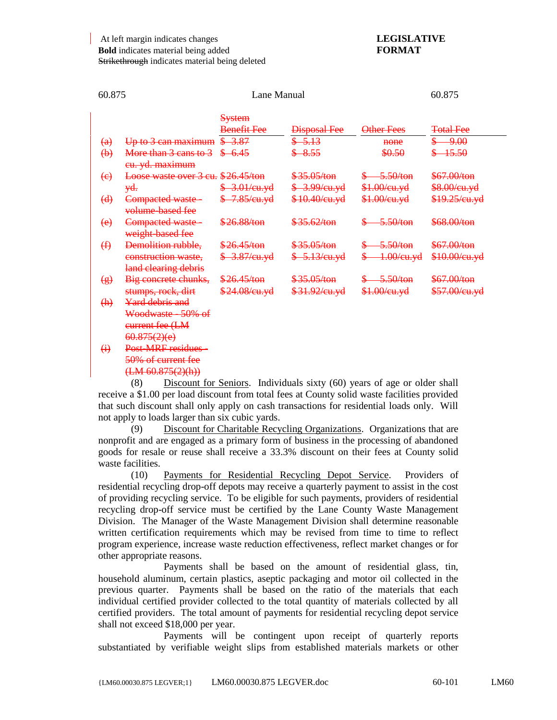| 60.875                        |                                    | Lane Manual                                                           | 60.875              |               |                          |
|-------------------------------|------------------------------------|-----------------------------------------------------------------------|---------------------|---------------|--------------------------|
|                               |                                    | <b>System</b>                                                         |                     |               |                          |
|                               |                                    | <b>Benefit Fee</b>                                                    | <b>Disposal Fee</b> | Other Fees    | <b>Total Fee</b>         |
| $\left(\mathrm{a}\right)$     | Up to 3 can maximum                | 3.87                                                                  | $-5.13$             | none          | <del>9.00</del>          |
| $\left(\rightarrow{b}\right)$ | More than 3 cans to 3              | -6.45                                                                 | $-8.55$             | \$0.50        | <del>15.50</del>         |
|                               | eu. yd. maximum                    |                                                                       |                     |               |                          |
| $\left(\mathrm{e}\right)$     | Loose waste over 3 cu. \$26.45/ton |                                                                       | \$35.05/ton         | $-5.50/ton$   | \$67.00/ton              |
|                               | <del>yd.</del>                     | $-3.01$ /cu.yd                                                        | \$3.99/cu.yd        | \$1.00/cu.yd  | \$8.00/cu.yd             |
| $\left(\frac{d}{ } \right)$   | Compacted waste-                   | <del>7.85/cu.yd</del>                                                 | \$10.40/cu.yd       | \$1.00/cu.yd  | <del>\$19.25/cu.yd</del> |
|                               | volume-based fee                   |                                                                       |                     |               |                          |
| $\leftrightarrow$             | Compacted waste-                   | \$26.88/ton                                                           | \$35.62/ton         | 5.50/ton      | \$68.00/ton              |
|                               | weight based fee                   |                                                                       |                     |               |                          |
| $\bigoplus$                   | Demolition rubble,                 | \$26.45/ton                                                           | \$35.05/ton         | 5.50/ton      | \$67.00/ton              |
|                               | construction waste,                | $$3.87$ /cu.yd                                                        | $$-5.13$ /cu.yd     | $1.00$ /eu.yd | \$10.00/eu.yd            |
|                               | land clearing debris               |                                                                       |                     |               |                          |
| $\circledast$                 | Big concrete chunks,               | \$26.45/ton                                                           | \$35.05/ton         | 5.50/ton      | \$67.00/ton              |
|                               | stumps, rock, dirt                 | \$24.08/cu.yd                                                         | \$31.92/eu.yd       | \$1.00/eu.yd  | \$57.00/eu.yd            |
| $\left( \mathrm{h}\right)$    | Yard debris and                    |                                                                       |                     |               |                          |
|                               | Woodwaste - 50% of                 |                                                                       |                     |               |                          |
|                               | eurrent fee (LM                    |                                                                       |                     |               |                          |
|                               | 60.875(2)(e)                       |                                                                       |                     |               |                          |
| $\bigoplus$                   | Post-MRF residues-                 |                                                                       |                     |               |                          |
|                               | 50% of current fee                 |                                                                       |                     |               |                          |
|                               | (HM 60.875(2)(h))                  |                                                                       |                     |               |                          |
|                               | (0)                                | Dissent for Contage. Individuals sinter (60) research can allow shall |                     |               |                          |

(8) Discount for Seniors. Individuals sixty (60) years of age or older shall receive a \$1.00 per load discount from total fees at County solid waste facilities provided that such discount shall only apply on cash transactions for residential loads only. Will not apply to loads larger than six cubic yards.

(9) Discount for Charitable Recycling Organizations. Organizations that are nonprofit and are engaged as a primary form of business in the processing of abandoned goods for resale or reuse shall receive a 33.3% discount on their fees at County solid waste facilities.

(10) Payments for Residential Recycling Depot Service. Providers of residential recycling drop-off depots may receive a quarterly payment to assist in the cost of providing recycling service. To be eligible for such payments, providers of residential recycling drop-off service must be certified by the Lane County Waste Management Division. The Manager of the Waste Management Division shall determine reasonable written certification requirements which may be revised from time to time to reflect program experience, increase waste reduction effectiveness, reflect market changes or for other appropriate reasons.

Payments shall be based on the amount of residential glass, tin, household aluminum, certain plastics, aseptic packaging and motor oil collected in the previous quarter. Payments shall be based on the ratio of the materials that each individual certified provider collected to the total quantity of materials collected by all certified providers. The total amount of payments for residential recycling depot service shall not exceed \$18,000 per year.

Payments will be contingent upon receipt of quarterly reports substantiated by verifiable weight slips from established materials markets or other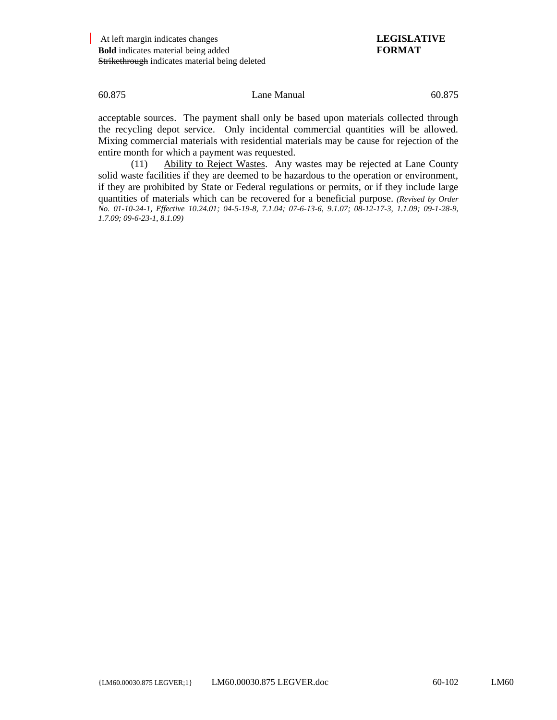acceptable sources. The payment shall only be based upon materials collected through the recycling depot service. Only incidental commercial quantities will be allowed. Mixing commercial materials with residential materials may be cause for rejection of the entire month for which a payment was requested.

(11) Ability to Reject Wastes. Any wastes may be rejected at Lane County solid waste facilities if they are deemed to be hazardous to the operation or environment, if they are prohibited by State or Federal regulations or permits, or if they include large quantities of materials which can be recovered for a beneficial purpose. *(Revised by Order No. 01-10-24-1, Effective 10.24.01; 04-5-19-8, 7.1.04; 07-6-13-6, 9.1.07; 08-12-17-3, 1.1.09; 09-1-28-9, 1.7.09; 09-6-23-1, 8.1.09)*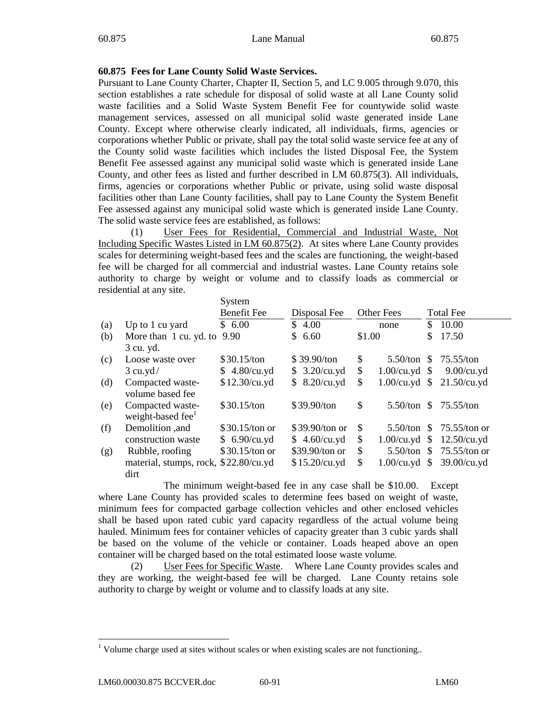# **60.875 Fees for Lane County Solid Waste Services.**

Pursuant to Lane County Charter, Chapter II, Section 5, and LC 9.005 through 9.070, this section establishes a rate schedule for disposal of solid waste at all Lane County solid waste facilities and a Solid Waste System Benefit Fee for countywide solid waste management services, assessed on all municipal solid waste generated inside Lane County. Except where otherwise clearly indicated, all individuals, firms, agencies or corporations whether Public or private, shall pay the total solid waste service fee at any of the County solid waste facilities which includes the listed Disposal Fee, the System Benefit Fee assessed against any municipal solid waste which is generated inside Lane County, and other fees as listed and further described in LM 60.875(3). All individuals, firms, agencies or corporations whether Public or private, using solid waste disposal facilities other than Lane County facilities, shall pay to Lane County the System Benefit Fee assessed against any municipal solid waste which is generated inside Lane County. The solid waste service fees are established, as follows:

(1) User Fees for Residential, Commercial and Industrial Waste, Not Including Specific Wastes Listed in LM 60.875(2). At sites where Lane County provides scales for determining weight-based fees and the scales are functioning, the weight-based fee will be charged for all commercial and industrial wastes. Lane County retains sole authority to charge by weight or volume and to classify loads as commercial or residential at any site.

|     |                                       | System             |                      |        |                   |               |                  |
|-----|---------------------------------------|--------------------|----------------------|--------|-------------------|---------------|------------------|
|     |                                       | <b>Benefit Fee</b> | Disposal Fee         |        | <b>Other Fees</b> |               | <b>Total Fee</b> |
| (a) | Up to 1 cu yard                       | \$6.00             | \$4.00               |        | none              | \$            | 10.00            |
| (b) | More than 1 cu. yd. to                | 9.90               | 6.60<br>$\mathbb{S}$ | \$1.00 |                   | \$            | 17.50            |
|     | 3 cu. yd.                             |                    |                      |        |                   |               |                  |
| (c) | Loose waste over                      | \$30.15/ton        | \$39.90/ton          | \$     | $5.50$ /ton       | S.            | $75.55$ /ton     |
|     | $3$ cu.yd/                            | \$4.80/cu.yd       | \$3.20/cu.yd         | \$     | $1.00$ /cu.yd \$  |               | $9.00$ /cu.yd    |
| (d) | Compacted waste-                      | \$12.30/cu.yd      | \$8.20/cu.yd         | \$     | $1.00$ /cu.yd \$  |               | $21.50$ /cu.yd   |
|     | volume based fee                      |                    |                      |        |                   |               |                  |
| (e) | Compacted waste-                      | \$30.15/ton        | \$39.90/ton          | \$     | $5.50$ /ton       | S.            | 75.55/ton        |
|     | weight-based fee <sup>1</sup>         |                    |                      |        |                   |               |                  |
| (f) | Demolition ,and                       | \$30.15/ton or     | \$39.90/ton or       | \$     | 5.50/ton          | \$.           | $75.55$ /ton or  |
|     | construction waste                    | \$6.90/cu.yd       | \$4.60/cu.yd         | \$     | $1.00$ /cu.yd     | <sup>S</sup>  | $12.50$ /cu.yd   |
| (g) | Rubble, roofing                       | \$30.15/ton or     | \$39.90/ton or       | \$     | 5.50/ton          | S.            | $75.55/ton$ or   |
|     | material, stumps, rock, \$22.80/cu.yd |                    | \$15.20/cu.yd        | \$     | $1.00$ /cu.yd     | $\mathcal{S}$ | $39.00$ /cu.yd   |
|     | dirt                                  |                    |                      |        |                   |               |                  |

The minimum weight-based fee in any case shall be \$10.00. Except where Lane County has provided scales to determine fees based on weight of waste, minimum fees for compacted garbage collection vehicles and other enclosed vehicles shall be based upon rated cubic yard capacity regardless of the actual volume being hauled. Minimum fees for container vehicles of capacity greater than 3 cubic yards shall be based on the volume of the vehicle or container. Loads heaped above an open container will be charged based on the total estimated loose waste volume.

(2) User Fees for Specific Waste. Where Lane County provides scales and they are working, the weight-based fee will be charged. Lane County retains sole authority to charge by weight or volume and to classify loads at any site.

l

<sup>&</sup>lt;sup>1</sup> Volume charge used at sites without scales or when existing scales are not functioning..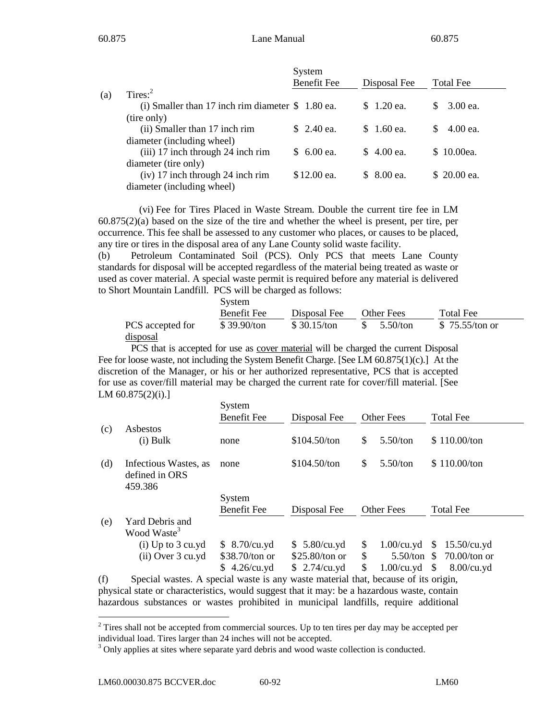|     |                                                   | System<br><b>Benefit Fee</b> | Disposal Fee | Total Fee         |
|-----|---------------------------------------------------|------------------------------|--------------|-------------------|
| (a) | Tires: $2^2$                                      |                              |              |                   |
|     | (i) Smaller than 17 inch rim diameter $$1.80$ ea. |                              | \$1.20 ea.   | 3.00 ea.<br>S.    |
|     | (tire only)                                       |                              |              |                   |
|     | (ii) Smaller than 17 inch rim                     | $$2.40$ ea.                  | $$1.60$ ea.  | $4.00$ ea.<br>SS. |
|     | diameter (including wheel)                        |                              |              |                   |
|     | (iii) 17 inch through 24 inch rim                 | $$6.00$ ea.                  | $$4.00$ ea.  | \$10.00ea.        |
|     | diameter (tire only)                              |                              |              |                   |
|     | (iv) 17 inch through 24 inch rim                  | \$12.00 ea.                  | $$8.00$ ea.  | \$ 20.00 ea.      |
|     | diameter (including wheel)                        |                              |              |                   |

(vi) Fee for Tires Placed in Waste Stream. Double the current tire fee in LM  $60.875(2)$ (a) based on the size of the tire and whether the wheel is present, per tire, per occurrence. This fee shall be assessed to any customer who places, or causes to be placed, any tire or tires in the disposal area of any Lane County solid waste facility.

(b) Petroleum Contaminated Soil (PCS). Only PCS that meets Lane County standards for disposal will be accepted regardless of the material being treated as waste or used as cover material. A special waste permit is required before any material is delivered to Short Mountain Landfill. PCS will be charged as follows:

|                  | System      |              |            |                 |  |  |  |
|------------------|-------------|--------------|------------|-----------------|--|--|--|
|                  | Benefit Fee | Disposal Fee | Other Fees | Total Fee       |  |  |  |
| PCS accepted for | \$39.90/ton | \$30.15/ton  | 5.50/ton   | \$ 75.55/ton or |  |  |  |
| <u>disposal</u>  |             |              |            |                 |  |  |  |

PCS that is accepted for use as cover material will be charged the current Disposal Fee for loose waste, not including the System Benefit Charge. [See LM 60.875(1)(c).] At the discretion of the Manager, or his or her authorized representative, PCS that is accepted for use as cover/fill material may be charged the current rate for cover/fill material. [See LM 60.875(2)(i).]

|     |                                                                   | System<br><b>Benefit Fee</b> | Disposal Fee     | <b>Other Fees</b>   | <b>Total Fee</b>                 |
|-----|-------------------------------------------------------------------|------------------------------|------------------|---------------------|----------------------------------|
| (c) | Asbestos                                                          |                              |                  |                     |                                  |
|     | $(i)$ Bulk                                                        | none                         | \$104.50/ton     | \$<br>5.50/ton      | \$110.00/ton                     |
| (d) | Infectious Wastes, as<br>defined in ORS<br>459.386                | none                         | \$104.50/ton     | \$<br>5.50/ton      | \$110.00/ton                     |
|     |                                                                   | System                       |                  |                     |                                  |
|     |                                                                   | <b>Benefit Fee</b>           | Disposal Fee     | <b>Other Fees</b>   | <b>Total Fee</b>                 |
| (e) | Yard Debris and<br>Wood Waste <sup>3</sup>                        |                              |                  |                     |                                  |
|     | $(i)$ Up to 3 cu.yd                                               | \$8.70/cu.yd                 | \$5.80/cu.yd     | \$<br>$1.00$ /cu.yd | \$<br>$15.50$ /cu.yd             |
|     | $(ii)$ Over 3 cu.yd                                               | \$38.70/ton or               | $$25.80$ /ton or | \$<br>5.50/ton      | $70.00$ /ton or<br><sup>\$</sup> |
|     |                                                                   | \$4.26/cu.yd                 | $$2.74/cu$ .yd   | \$<br>$1.00$ /cu.yd | - \$<br>$8.00$ /cu.yd            |
|     | $\bullet$ and $\bullet$ and $\bullet$ and $\bullet$ and $\bullet$ |                              |                  |                     |                                  |

(f) Special wastes. A special waste is any waste material that, because of its origin, physical state or characteristics, would suggest that it may: be a hazardous waste, contain hazardous substances or wastes prohibited in municipal landfills, require additional

l

 $2^2$  Tires shall not be accepted from commercial sources. Up to ten tires per day may be accepted per individual load. Tires larger than 24 inches will not be accepted.

<sup>&</sup>lt;sup>3</sup> Only applies at sites where separate yard debris and wood waste collection is conducted.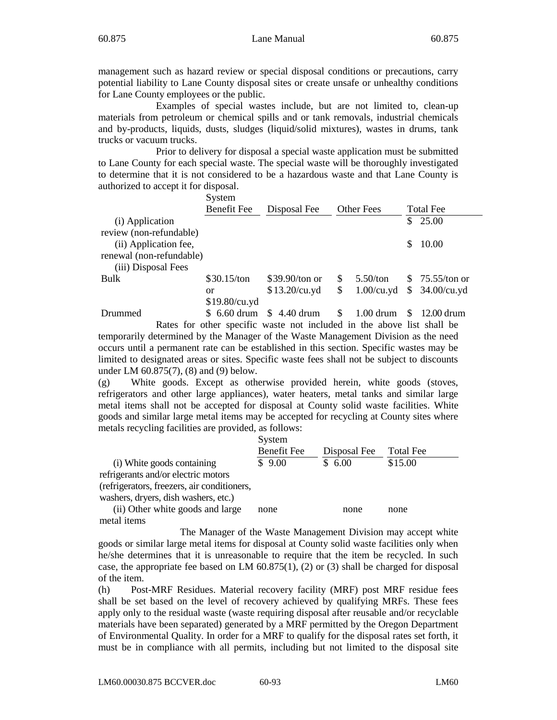management such as hazard review or special disposal conditions or precautions, carry potential liability to Lane County disposal sites or create unsafe or unhealthy conditions for Lane County employees or the public.

Examples of special wastes include, but are not limited to, clean-up materials from petroleum or chemical spills and or tank removals, industrial chemicals and by-products, liquids, dusts, sludges (liquid/solid mixtures), wastes in drums, tank trucks or vacuum trucks.

Prior to delivery for disposal a special waste application must be submitted to Lane County for each special waste. The special waste will be thoroughly investigated to determine that it is not considered to be a hazardous waste and that Lane County is authorized to accept it for disposal.

|                          | System             |                 |     |                      |    |                  |
|--------------------------|--------------------|-----------------|-----|----------------------|----|------------------|
|                          | <b>Benefit Fee</b> | Disposal Fee    |     | <b>Other Fees</b>    |    | <b>Total Fee</b> |
| (i) Application          |                    |                 |     |                      | \$ | 25.00            |
| review (non-refundable)  |                    |                 |     |                      |    |                  |
| (ii) Application fee,    |                    |                 |     |                      | S  | 10.00            |
| renewal (non-refundable) |                    |                 |     |                      |    |                  |
| (iii) Disposal Fees      |                    |                 |     |                      |    |                  |
| Bulk                     | \$30.15/ton        | \$39.90/ton or  | \$. | $5.50$ /ton          |    | \$75.55/ton or   |
|                          | or                 | \$13.20/cu.yd   | S   | $1.00$ /cu.yd        |    | \$34.00/cu.yd    |
|                          | \$19.80/cu.yd      |                 |     |                      |    |                  |
| Drummed                  | $$6.60$ drum       | 4.40 drum<br>S. | \$  | $1.00 \mathrm{drum}$ |    | 12.00 drum       |

Rates for other specific waste not included in the above list shall be temporarily determined by the Manager of the Waste Management Division as the need occurs until a permanent rate can be established in this section. Specific wastes may be limited to designated areas or sites. Specific waste fees shall not be subject to discounts under LM 60.875(7), (8) and (9) below.

(g) White goods. Except as otherwise provided herein, white goods (stoves, refrigerators and other large appliances), water heaters, metal tanks and similar large metal items shall not be accepted for disposal at County solid waste facilities. White goods and similar large metal items may be accepted for recycling at County sites where metals recycling facilities are provided, as follows:

|                                             | System             |              |                  |
|---------------------------------------------|--------------------|--------------|------------------|
|                                             | <b>Benefit Fee</b> | Disposal Fee | <b>Total Fee</b> |
| (i) White goods containing                  | \$9.00             | \$6.00       | \$15.00          |
| refrigerants and/or electric motors         |                    |              |                  |
| (refrigerators, freezers, air conditioners, |                    |              |                  |
| washers, dryers, dish washers, etc.)        |                    |              |                  |
| (ii) Other white goods and large            | none               | none         | none             |
| metal items                                 |                    |              |                  |

The Manager of the Waste Management Division may accept white goods or similar large metal items for disposal at County solid waste facilities only when he/she determines that it is unreasonable to require that the item be recycled. In such case, the appropriate fee based on LM  $60.875(1)$ , (2) or (3) shall be charged for disposal of the item.

(h) Post-MRF Residues. Material recovery facility (MRF) post MRF residue fees shall be set based on the level of recovery achieved by qualifying MRFs. These fees apply only to the residual waste (waste requiring disposal after reusable and/or recyclable materials have been separated) generated by a MRF permitted by the Oregon Department of Environmental Quality. In order for a MRF to qualify for the disposal rates set forth, it must be in compliance with all permits, including but not limited to the disposal site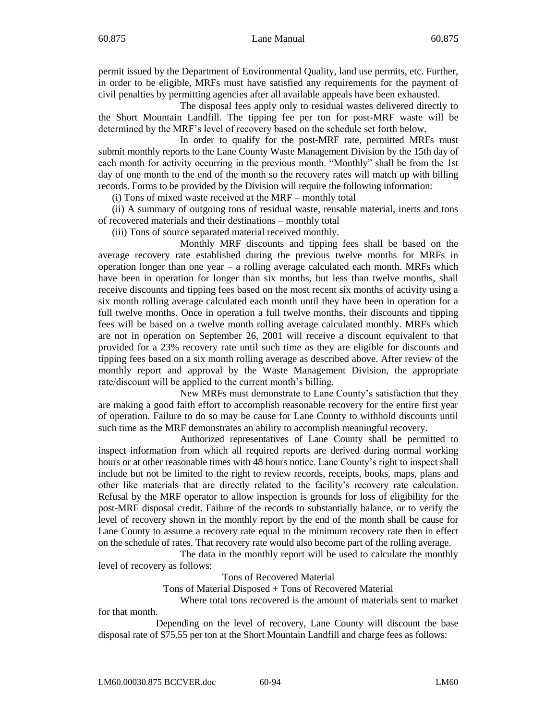permit issued by the Department of Environmental Quality, land use permits, etc. Further, in order to be eligible, MRFs must have satisfied any requirements for the payment of civil penalties by permitting agencies after all available appeals have been exhausted.

The disposal fees apply only to residual wastes delivered directly to the Short Mountain Landfill. The tipping fee per ton for post-MRF waste will be determined by the MRF's level of recovery based on the schedule set forth below.

In order to qualify for the post-MRF rate, permitted MRFs must submit monthly reports to the Lane County Waste Management Division by the 15th day of each month for activity occurring in the previous month. "Monthly" shall be from the 1st day of one month to the end of the month so the recovery rates will match up with billing records. Forms to be provided by the Division will require the following information:

(i) Tons of mixed waste received at the MRF – monthly total

(ii) A summary of outgoing tons of residual waste, reusable material, inerts and tons of recovered materials and their destinations – monthly total

(iii) Tons of source separated material received monthly.

Monthly MRF discounts and tipping fees shall be based on the average recovery rate established during the previous twelve months for MRFs in operation longer than one year – a rolling average calculated each month. MRFs which have been in operation for longer than six months, but less than twelve months, shall receive discounts and tipping fees based on the most recent six months of activity using a six month rolling average calculated each month until they have been in operation for a full twelve months. Once in operation a full twelve months, their discounts and tipping fees will be based on a twelve month rolling average calculated monthly. MRFs which are not in operation on September 26, 2001 will receive a discount equivalent to that provided for a 23% recovery rate until such time as they are eligible for discounts and tipping fees based on a six month rolling average as described above. After review of the monthly report and approval by the Waste Management Division, the appropriate rate/discount will be applied to the current month's billing.

New MRFs must demonstrate to Lane County's satisfaction that they are making a good faith effort to accomplish reasonable recovery for the entire first year of operation. Failure to do so may be cause for Lane County to withhold discounts until such time as the MRF demonstrates an ability to accomplish meaningful recovery.

Authorized representatives of Lane County shall be permitted to inspect information from which all required reports are derived during normal working hours or at other reasonable times with 48 hours notice. Lane County's right to inspect shall include but not be limited to the right to review records, receipts, books, maps, plans and other like materials that are directly related to the facility's recovery rate calculation. Refusal by the MRF operator to allow inspection is grounds for loss of eligibility for the post-MRF disposal credit. Failure of the records to substantially balance, or to verify the level of recovery shown in the monthly report by the end of the month shall be cause for Lane County to assume a recovery rate equal to the minimum recovery rate then in effect on the schedule of rates. That recovery rate would also become part of the rolling average.

The data in the monthly report will be used to calculate the monthly level of recovery as follows:

Tons of Recovered Material

Tons of Material Disposed + Tons of Recovered Material

Where total tons recovered is the amount of materials sent to market for that month.

Depending on the level of recovery, Lane County will discount the base disposal rate of \$75.55 per ton at the Short Mountain Landfill and charge fees as follows: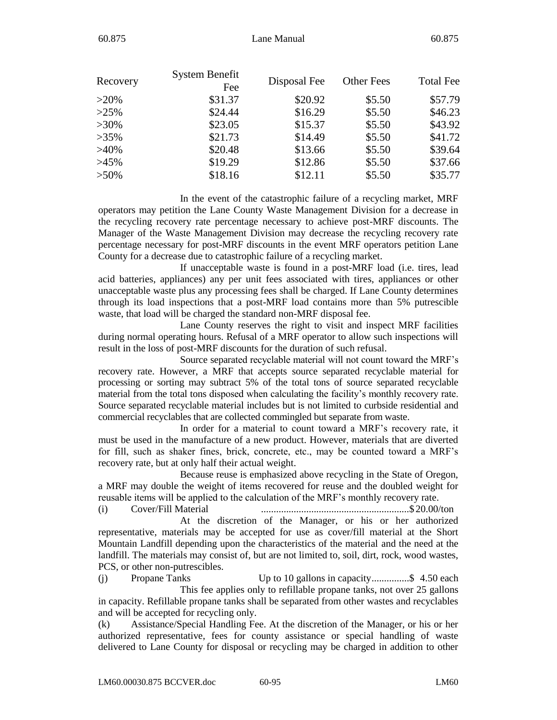| Recovery | System Benefit | Disposal Fee | <b>Other Fees</b> | <b>Total Fee</b> |
|----------|----------------|--------------|-------------------|------------------|
|          | Fee            |              |                   |                  |
| $>20\%$  | \$31.37        | \$20.92      | \$5.50            | \$57.79          |
| $>25\%$  | \$24.44        | \$16.29      | \$5.50            | \$46.23          |
| $>30\%$  | \$23.05        | \$15.37      | \$5.50            | \$43.92          |
| $>35\%$  | \$21.73        | \$14.49      | \$5.50            | \$41.72          |
| $>40\%$  | \$20.48        | \$13.66      | \$5.50            | \$39.64          |
| $>45\%$  | \$19.29        | \$12.86      | \$5.50            | \$37.66          |
| $>50\%$  | \$18.16        | \$12.11      | \$5.50            | \$35.77          |

In the event of the catastrophic failure of a recycling market, MRF operators may petition the Lane County Waste Management Division for a decrease in the recycling recovery rate percentage necessary to achieve post-MRF discounts. The Manager of the Waste Management Division may decrease the recycling recovery rate percentage necessary for post-MRF discounts in the event MRF operators petition Lane County for a decrease due to catastrophic failure of a recycling market.

If unacceptable waste is found in a post-MRF load (i.e. tires, lead acid batteries, appliances) any per unit fees associated with tires, appliances or other unacceptable waste plus any processing fees shall be charged. If Lane County determines through its load inspections that a post-MRF load contains more than 5% putrescible waste, that load will be charged the standard non-MRF disposal fee.

Lane County reserves the right to visit and inspect MRF facilities during normal operating hours. Refusal of a MRF operator to allow such inspections will result in the loss of post-MRF discounts for the duration of such refusal.

Source separated recyclable material will not count toward the MRF's recovery rate. However, a MRF that accepts source separated recyclable material for processing or sorting may subtract 5% of the total tons of source separated recyclable material from the total tons disposed when calculating the facility's monthly recovery rate. Source separated recyclable material includes but is not limited to curbside residential and commercial recyclables that are collected commingled but separate from waste.

In order for a material to count toward a MRF's recovery rate, it must be used in the manufacture of a new product. However, materials that are diverted for fill, such as shaker fines, brick, concrete, etc., may be counted toward a MRF's recovery rate, but at only half their actual weight.

Because reuse is emphasized above recycling in the State of Oregon, a MRF may double the weight of items recovered for reuse and the doubled weight for reusable items will be applied to the calculation of the MRF's monthly recovery rate.

(i) Cover/Fill Material ...........................................................\$ 20.00/ton At the discretion of the Manager, or his or her authorized representative, materials may be accepted for use as cover/fill material at the Short Mountain Landfill depending upon the characteristics of the material and the need at the landfill. The materials may consist of, but are not limited to, soil, dirt, rock, wood wastes, PCS, or other non-putrescibles.

(j) Propane Tanks Up to 10 gallons in capacity.................\$ 4.50 each This fee applies only to refillable propane tanks, not over 25 gallons in capacity. Refillable propane tanks shall be separated from other wastes and recyclables and will be accepted for recycling only.

(k) Assistance/Special Handling Fee. At the discretion of the Manager, or his or her authorized representative, fees for county assistance or special handling of waste delivered to Lane County for disposal or recycling may be charged in addition to other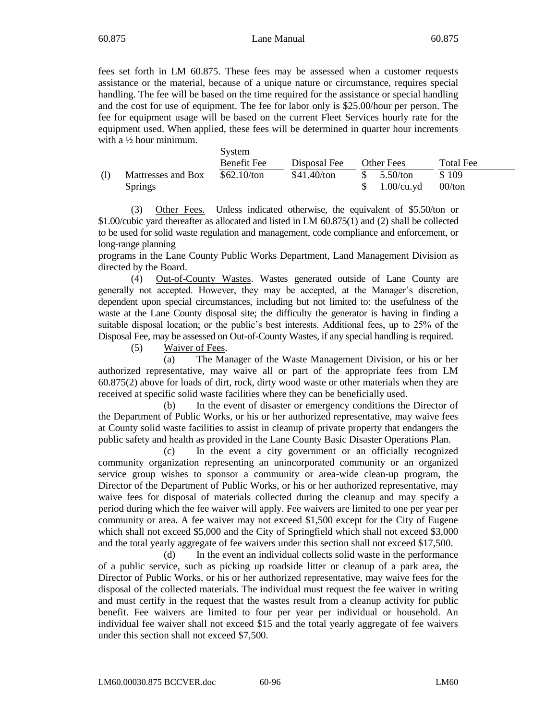fees set forth in LM 60.875. These fees may be assessed when a customer requests assistance or the material, because of a unique nature or circumstance, requires special handling. The fee will be based on the time required for the assistance or special handling and the cost for use of equipment. The fee for labor only is \$25.00/hour per person. The fee for equipment usage will be based on the current Fleet Services hourly rate for the equipment used. When applied, these fees will be determined in quarter hour increments with a ½ hour minimum.

|                    | System      |               |               |           |
|--------------------|-------------|---------------|---------------|-----------|
|                    | Benefit Fee | Disposal Fee  | Other Fees    | Total Fee |
| Mattresses and Box | \$62.10/ton | $$41.40$ /ton | $5.50$ /ton   | \$109     |
| <b>Springs</b>     |             |               | $1.00$ /cu.yd | $00/t$ on |

(3) Other Fees. Unless indicated otherwise, the equivalent of \$5.50/ton or \$1.00/cubic yard thereafter as allocated and listed in LM 60.875(1) and (2) shall be collected to be used for solid waste regulation and management, code compliance and enforcement, or long-range planning

programs in the Lane County Public Works Department, Land Management Division as directed by the Board.

(4) Out-of-County Wastes. Wastes generated outside of Lane County are generally not accepted. However, they may be accepted, at the Manager's discretion, dependent upon special circumstances, including but not limited to: the usefulness of the waste at the Lane County disposal site; the difficulty the generator is having in finding a suitable disposal location; or the public's best interests. Additional fees, up to 25% of the Disposal Fee, may be assessed on Out-of-County Wastes, if any special handling is required.

(5) Waiver of Fees.

(a) The Manager of the Waste Management Division, or his or her authorized representative, may waive all or part of the appropriate fees from LM 60.875(2) above for loads of dirt, rock, dirty wood waste or other materials when they are received at specific solid waste facilities where they can be beneficially used.

(b) In the event of disaster or emergency conditions the Director of the Department of Public Works, or his or her authorized representative, may waive fees at County solid waste facilities to assist in cleanup of private property that endangers the public safety and health as provided in the Lane County Basic Disaster Operations Plan.

(c) In the event a city government or an officially recognized community organization representing an unincorporated community or an organized service group wishes to sponsor a community or area-wide clean-up program, the Director of the Department of Public Works, or his or her authorized representative, may waive fees for disposal of materials collected during the cleanup and may specify a period during which the fee waiver will apply. Fee waivers are limited to one per year per community or area. A fee waiver may not exceed \$1,500 except for the City of Eugene which shall not exceed \$5,000 and the City of Springfield which shall not exceed \$3,000 and the total yearly aggregate of fee waivers under this section shall not exceed \$17,500.

(d) In the event an individual collects solid waste in the performance of a public service, such as picking up roadside litter or cleanup of a park area, the Director of Public Works, or his or her authorized representative, may waive fees for the disposal of the collected materials. The individual must request the fee waiver in writing and must certify in the request that the wastes result from a cleanup activity for public benefit. Fee waivers are limited to four per year per individual or household. An individual fee waiver shall not exceed \$15 and the total yearly aggregate of fee waivers under this section shall not exceed \$7,500.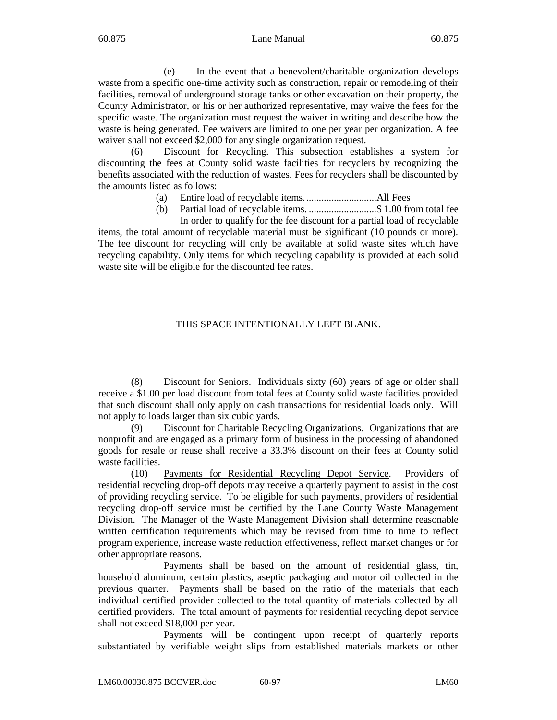(e) In the event that a benevolent/charitable organization develops waste from a specific one-time activity such as construction, repair or remodeling of their facilities, removal of underground storage tanks or other excavation on their property, the County Administrator, or his or her authorized representative, may waive the fees for the specific waste. The organization must request the waiver in writing and describe how the waste is being generated. Fee waivers are limited to one per year per organization. A fee waiver shall not exceed \$2,000 for any single organization request.

(6) Discount for Recycling. This subsection establishes a system for discounting the fees at County solid waste facilities for recyclers by recognizing the benefits associated with the reduction of wastes. Fees for recyclers shall be discounted by the amounts listed as follows:

- (a) Entire load of recyclable items.............................All Fees
- (b) Partial load of recyclable items. ...........................\$ 1.00 from total fee In order to qualify for the fee discount for a partial load of recyclable

items, the total amount of recyclable material must be significant (10 pounds or more). The fee discount for recycling will only be available at solid waste sites which have recycling capability. Only items for which recycling capability is provided at each solid waste site will be eligible for the discounted fee rates.

# THIS SPACE INTENTIONALLY LEFT BLANK.

(8) Discount for Seniors. Individuals sixty (60) years of age or older shall receive a \$1.00 per load discount from total fees at County solid waste facilities provided that such discount shall only apply on cash transactions for residential loads only. Will not apply to loads larger than six cubic yards.

(9) Discount for Charitable Recycling Organizations. Organizations that are nonprofit and are engaged as a primary form of business in the processing of abandoned goods for resale or reuse shall receive a 33.3% discount on their fees at County solid waste facilities.

(10) Payments for Residential Recycling Depot Service. Providers of residential recycling drop-off depots may receive a quarterly payment to assist in the cost of providing recycling service. To be eligible for such payments, providers of residential recycling drop-off service must be certified by the Lane County Waste Management Division. The Manager of the Waste Management Division shall determine reasonable written certification requirements which may be revised from time to time to reflect program experience, increase waste reduction effectiveness, reflect market changes or for other appropriate reasons.

Payments shall be based on the amount of residential glass, tin, household aluminum, certain plastics, aseptic packaging and motor oil collected in the previous quarter. Payments shall be based on the ratio of the materials that each individual certified provider collected to the total quantity of materials collected by all certified providers. The total amount of payments for residential recycling depot service shall not exceed \$18,000 per year.

Payments will be contingent upon receipt of quarterly reports substantiated by verifiable weight slips from established materials markets or other